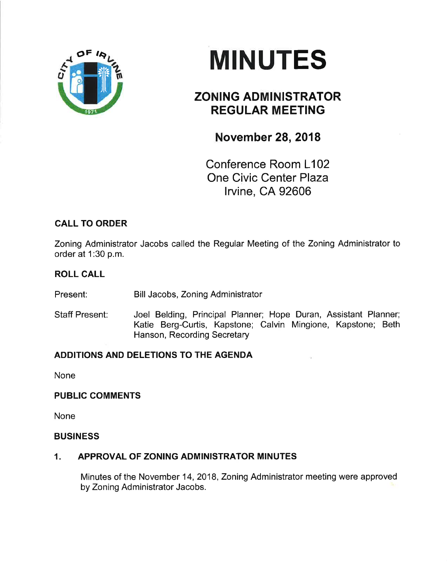

# **MINUTES**

# ZONING ADMINISTRATOR REGULAR MEETING

## November 28, 2018

Conference Room L102 One Civic Center Plaza lrvine, CA 92606

## CALL TO ORDER

Zoning Administrator Jacobs called the Regular Meeting of the Zoning Administrator to order at 1:30 p.m.

#### ROLL CALL

Present: Bill Jacobs, Zoning Administrator

Staff Present: Joel Belding, Principal Planner; Hope Duran, Assistant Planner; Katie Berg-Curtis, Kapstone; Calvin Mingione, Kapstone; Beth Hanson, Recording Secretary

## ADDITIONS AND DELETIONS TO THE AGENDA

None

#### PUBLIC COMMENTS

None

#### **BUSINESS**

## 1. APPROVAL OF ZONING ADMINISTRATOR MINUTES

Minutes of the November 14, 2018, Zoning Administrator meeting were approved by Zoning Administrator Jacobs.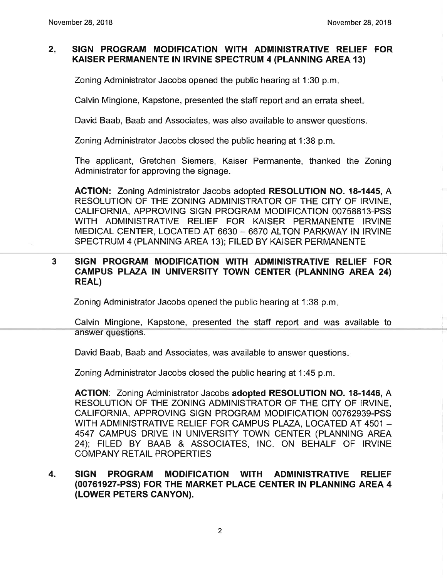#### $2.$ SIGN PROGRAM MODIFICATION WITH ADMINISTRATIVE RELIEF FOR KAISER PERMANENTE IN IRVINE SPECTRUM 4 (PLANNING AREA 13)

Zoning Administrator Jacobs opened the public hearing at 1:30 p.m

Calvin Mingione, Kapstone, presented the staff report and an errata sheet

David Baab, Baab and Associates, was also available to answer questions.

Zoning Administrator Jacobs closed the public hearing at 1:38 p.m.

The applicant, Gretchen Siemers, Kaiser Permanente, thanked the Zoning Administrator for approving the signage.

ACTION: Zoning Administrator Jacobs adopted RESOLUTION NO. 18-1445, A RESOLUTION OF THE ZONING ADMINISTRATOR OF THE CITY OF IRVINE, CALIFORNIA, APPROVING SIGN PROGRAM MODIFICATION 00758813-PSS WITH ADMINISTRATIVE RELIEF FOR KAISER PERMANENTE IRVINE MEDICAL CENTER, LOCATED AT 6630 - 6670 ALTON PARKWAY IN IRVINE SPECTRUM 4 (PLANNING AREA 13); FILED BY KAISER PERMANENTE

#### 3 SIGN PROGRAM MODIFICATION WITH ADMINISTRATIVE RELIEF FOR CAMPUS PLAZA IN UNIVERSITY TOWN CENTER (PLANNING AREA 24) REAL)

Zoning Administrator Jacobs opened the public hearing at 1:38 p.m.

Calvin Mingione, Kapstone, presented the staff report and was available to answer questions.

David Baab, Baab and Associates, was available to answer questions

Zoning Administrator Jacobs closed the public hearing at 1:45 p.m.

AGTION: Zoning Administrator Jacobs adopted RESOLUTION NO. 18-1446, A RESOLUTION OF THE ZONING ADMINISTRATOR OF THE CITY OF IRVINE, CALIFORNIA, APPROVING SIGN PROGRAM MODIFICATION 00762939-PSS WITH ADMINISTRATIVE RELIEF FOR CAMPUS PLAZA, LOCATED AT 4501 -4547 CAMPUS DRIVE IN UNIVERSITY TOWN CENTER (PLANNING AREA 24); FILED BY BAAB & ASSOCIATES, INC. ON BEHALF OF IRVINE COMPANY RETAIL PROPERTIES

#### SIGN PROGRAM MODIFICATION WITH ADMINISTRATIVE RELIEF (00761927-PSS) FOR THE MARKET PLACE CENTER tN PLANN|NG AREA 4 (LOWER PETERS CANYON). 4.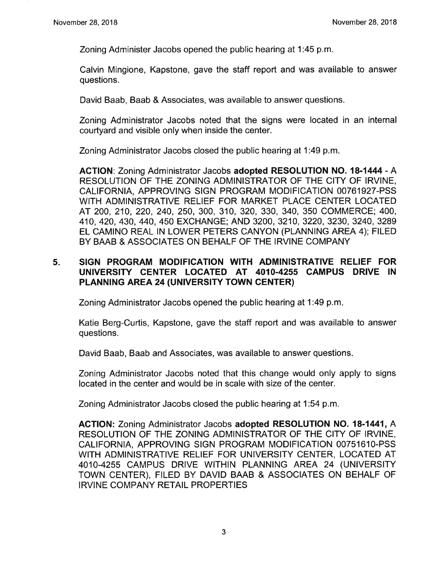Zoning Administer Jacobs opened the public hearing at 1:45 p.m.

Calvin Mingione, Kapstone, gave the staff report and was available to answer questions.

David Baab, Baab & Associates, was available to answer questions.

Zoning Administrator Jacobs noted that the signs were located in an internal courtyard and visible only when inside the center.

Zoning Administrator Jacobs closed the public hearing at 1:49 p.m

AGTION: Zoning Administrator Jacobs adopted RESOLUTION NO. 18-1444 - A RESOLUTION OF THE ZONING ADMINISTRATOR OF THE CITY OF IRVINE, CALIFORNIA, APPROVING SIGN PROGRAM MODIFICATION 00761927-PSS WITH ADMINISTRATIVE RELIEF FOR MARKET PLACE CENTER LOCATED AT 200, 210,220,240,250,300, 310, 320,330, 340, 350 COMMERCE; 400, 410, 420, 430, 44O, 450 EXCHANGE; AND 3200, 3210, 3220, 3230, 3240, 3289 EL CAMINO REAL lN LOWER PETERS CANYON (PLANNING AREA a); FILED BY BAAB & ASSOCIATES ON BEHALF OF THE IRVINE COMPANY

#### 5. SIGN PROGRAM MODIFICATION WITH ADMINISTRATIVE RELIEF FOR UNIVERSIW CENTER LOCATED AT 4010.4255 CAMPUS DRIVE IN PLANNING AREA 24 (UNIVERSITY TOWN CENTER)

Zoning Administrator Jacobs opened the public hearing at 1:49 p.m

Katie Berg-Curtis, Kapstone, gave the staff report and was available to answer questions.

David Baab, Baab and Associates, was available to answer questions

Zoning Administrator Jacobs noted that this change would only apply to signs located in the center and would be in scale with size of the center.

Zoning Administrator Jacobs closed the public hearing at 1:54 p.m

AGTION: Zoning Administrator Jacobs adopted RESOLUTION NO. 18-1441, A RESOLUTION OF THE ZONING ADMINISTRATOR OF THE CITY OF IRVINE, CALIFORNIA, APPROVING SIGN PROGRAM MODIFICATION 0075161O-PSS WITH ADMINISTRATIVE RELIEF FOR UNIVERSITY CENTER, LOCATED AT 4010-4255 CAMPUS DRIVE WITHIN PLANNING AREA 24 (UNIVERSITY TOWN CENTER), FILED BY DAVID BAAB & ASSOCIATES ON BEHALF OF IRVINE COMPANY RETAIL PROPERTIES